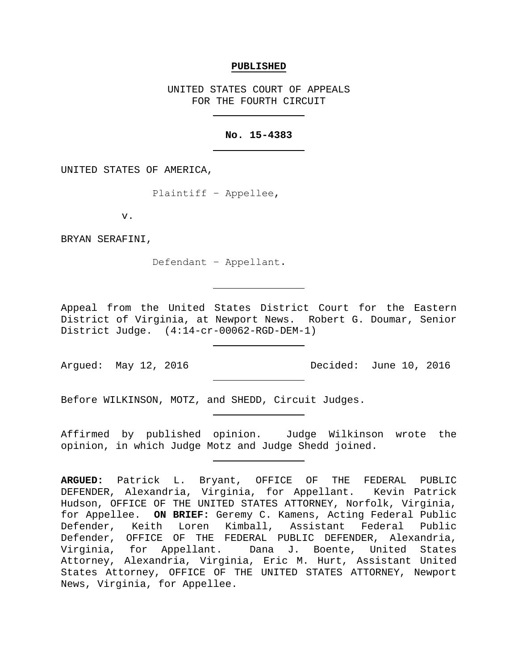### **PUBLISHED**

UNITED STATES COURT OF APPEALS FOR THE FOURTH CIRCUIT

### **No. 15-4383**

UNITED STATES OF AMERICA,

Plaintiff − Appellee,

v.

BRYAN SERAFINI,

Defendant − Appellant.

Appeal from the United States District Court for the Eastern District of Virginia, at Newport News. Robert G. Doumar, Senior District Judge. (4:14-cr-00062-RGD-DEM-1)

Argued: May 12, 2016 Decided: June 10, 2016

Before WILKINSON, MOTZ, and SHEDD, Circuit Judges.

Affirmed by published opinion. Judge Wilkinson wrote the opinion, in which Judge Motz and Judge Shedd joined.

**ARGUED:** Patrick L. Bryant, OFFICE OF THE FEDERAL PUBLIC DEFENDER, Alexandria, Virginia, for Appellant. Kevin Patrick Hudson, OFFICE OF THE UNITED STATES ATTORNEY, Norfolk, Virginia, for Appellee. **ON BRIEF:** Geremy C. Kamens, Acting Federal Public Defender, Keith Loren Kimball, Assistant Federal Public Defender, OFFICE OF THE FEDERAL PUBLIC DEFENDER, Alexandria, Virginia, for Appellant. Dana J. Boente, United States Attorney, Alexandria, Virginia, Eric M. Hurt, Assistant United States Attorney, OFFICE OF THE UNITED STATES ATTORNEY, Newport News, Virginia, for Appellee.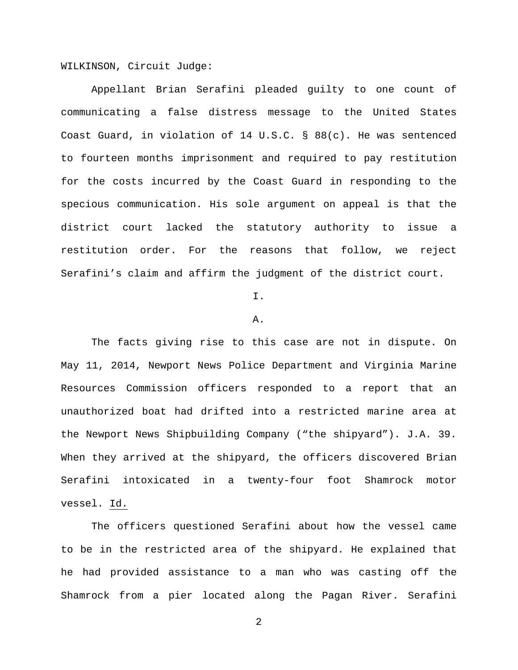WILKINSON, Circuit Judge:

Appellant Brian Serafini pleaded guilty to one count of communicating a false distress message to the United States Coast Guard, in violation of 14 U.S.C. § 88(c). He was sentenced to fourteen months imprisonment and required to pay restitution for the costs incurred by the Coast Guard in responding to the specious communication. His sole argument on appeal is that the district court lacked the statutory authority to issue a restitution order. For the reasons that follow, we reject Serafini's claim and affirm the judgment of the district court.

I.

### A.

The facts giving rise to this case are not in dispute. On May 11, 2014, Newport News Police Department and Virginia Marine Resources Commission officers responded to a report that an unauthorized boat had drifted into a restricted marine area at the Newport News Shipbuilding Company ("the shipyard"). J.A. 39. When they arrived at the shipyard, the officers discovered Brian Serafini intoxicated in a twenty-four foot Shamrock motor vessel. Id.

The officers questioned Serafini about how the vessel came to be in the restricted area of the shipyard. He explained that he had provided assistance to a man who was casting off the Shamrock from a pier located along the Pagan River. Serafini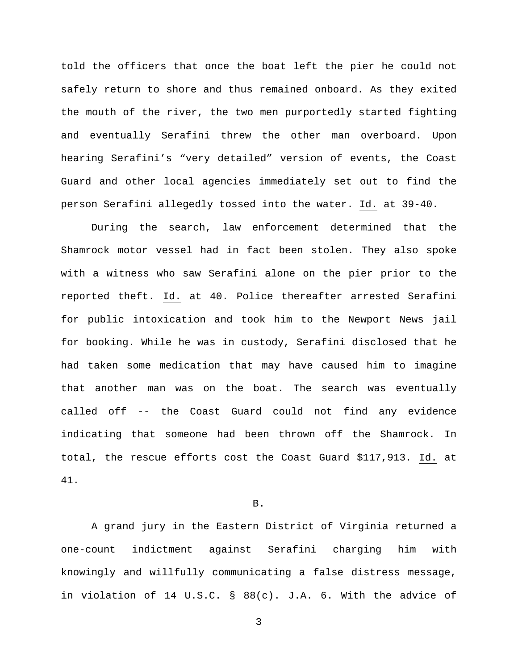told the officers that once the boat left the pier he could not safely return to shore and thus remained onboard. As they exited the mouth of the river, the two men purportedly started fighting and eventually Serafini threw the other man overboard. Upon hearing Serafini's "very detailed" version of events, the Coast Guard and other local agencies immediately set out to find the person Serafini allegedly tossed into the water. Id. at 39-40.

During the search, law enforcement determined that the Shamrock motor vessel had in fact been stolen. They also spoke with a witness who saw Serafini alone on the pier prior to the reported theft. Id. at 40. Police thereafter arrested Serafini for public intoxication and took him to the Newport News jail for booking. While he was in custody, Serafini disclosed that he had taken some medication that may have caused him to imagine that another man was on the boat. The search was eventually called off -- the Coast Guard could not find any evidence indicating that someone had been thrown off the Shamrock. In total, the rescue efforts cost the Coast Guard \$117,913. Id. at 41.

## B.

A grand jury in the Eastern District of Virginia returned a one-count indictment against Serafini charging him with knowingly and willfully communicating a false distress message, in violation of 14 U.S.C. § 88(c). J.A. 6. With the advice of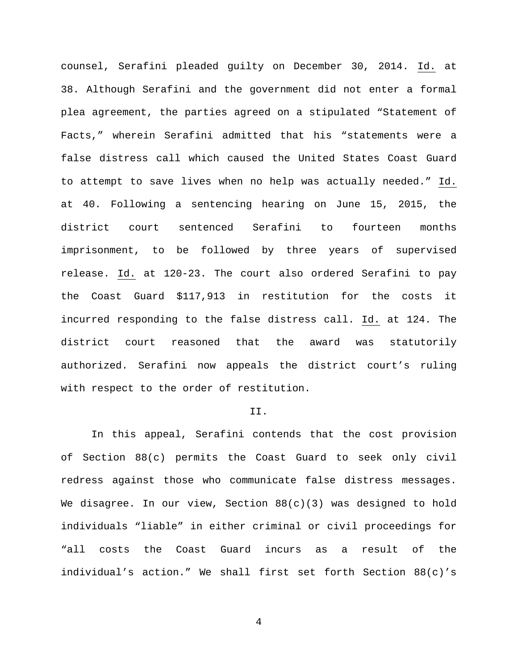counsel, Serafini pleaded guilty on December 30, 2014. Id. at 38. Although Serafini and the government did not enter a formal plea agreement, the parties agreed on a stipulated "Statement of Facts," wherein Serafini admitted that his "statements were a false distress call which caused the United States Coast Guard to attempt to save lives when no help was actually needed." Id. at 40. Following a sentencing hearing on June 15, 2015, the district court sentenced Serafini to fourteen months imprisonment, to be followed by three years of supervised release. Id. at 120-23. The court also ordered Serafini to pay the Coast Guard \$117,913 in restitution for the costs it incurred responding to the false distress call. Id. at 124. The district court reasoned that the award was statutorily authorized. Serafini now appeals the district court's ruling with respect to the order of restitution.

## II.

In this appeal, Serafini contends that the cost provision of Section 88(c) permits the Coast Guard to seek only civil redress against those who communicate false distress messages. We disagree. In our view, Section  $88(c)(3)$  was designed to hold individuals "liable" in either criminal or civil proceedings for "all costs the Coast Guard incurs as a result of the individual's action." We shall first set forth Section 88(c)'s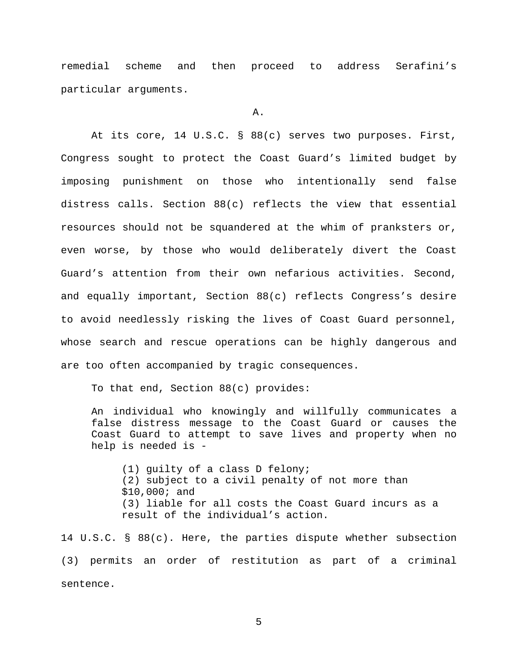remedial scheme and then proceed to address Serafini's particular arguments.

A.

At its core, 14 U.S.C. § 88(c) serves two purposes. First, Congress sought to protect the Coast Guard's limited budget by imposing punishment on those who intentionally send false distress calls. Section 88(c) reflects the view that essential resources should not be squandered at the whim of pranksters or, even worse, by those who would deliberately divert the Coast Guard's attention from their own nefarious activities. Second, and equally important, Section 88(c) reflects Congress's desire to avoid needlessly risking the lives of Coast Guard personnel, whose search and rescue operations can be highly dangerous and are too often accompanied by tragic consequences.

To that end, Section 88(c) provides:

An individual who knowingly and willfully communicates a false distress message to the Coast Guard or causes the Coast Guard to attempt to save lives and property when no help is needed is -

(1) guilty of a class D felony; (2) subject to a civil penalty of not more than \$10,000; and (3) liable for all costs the Coast Guard incurs as a result of the individual's action.

14 U.S.C. § 88(c). Here, the parties dispute whether subsection (3) permits an order of restitution as part of a criminal sentence.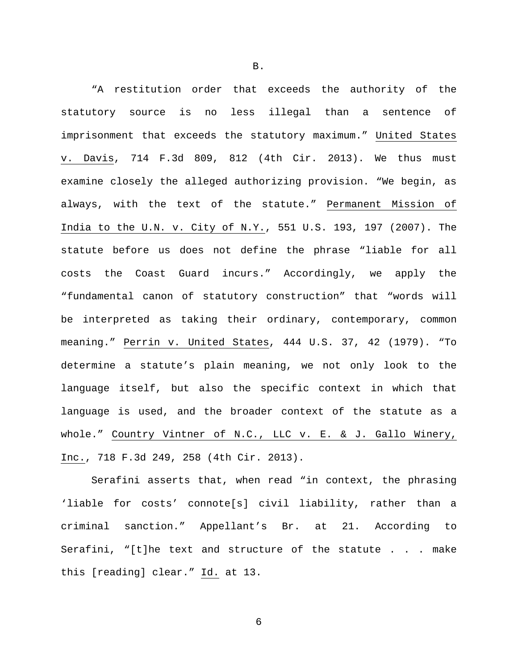"A restitution order that exceeds the authority of the statutory source is no less illegal than a sentence of imprisonment that exceeds the statutory maximum." United States v. Davis, 714 F.3d 809, 812 (4th Cir. 2013). We thus must examine closely the alleged authorizing provision. "We begin, as always, with the text of the statute." Permanent Mission of India to the U.N. v. City of N.Y., 551 U.S. 193, 197 (2007). The statute before us does not define the phrase "liable for all costs the Coast Guard incurs." Accordingly, we apply the "fundamental canon of statutory construction" that "words will be interpreted as taking their ordinary, contemporary, common meaning." Perrin v. United States, 444 U.S. 37, 42 (1979). "To determine a statute's plain meaning, we not only look to the language itself, but also the specific context in which that language is used, and the broader context of the statute as a whole." Country Vintner of N.C., LLC v. E. & J. Gallo Winery, Inc., 718 F.3d 249, 258 (4th Cir. 2013).

Serafini asserts that, when read "in context, the phrasing 'liable for costs' connote[s] civil liability, rather than a criminal sanction." Appellant's Br. at 21. According to Serafini, "[t]he text and structure of the statute . . . make this [reading] clear." Id. at 13.

B.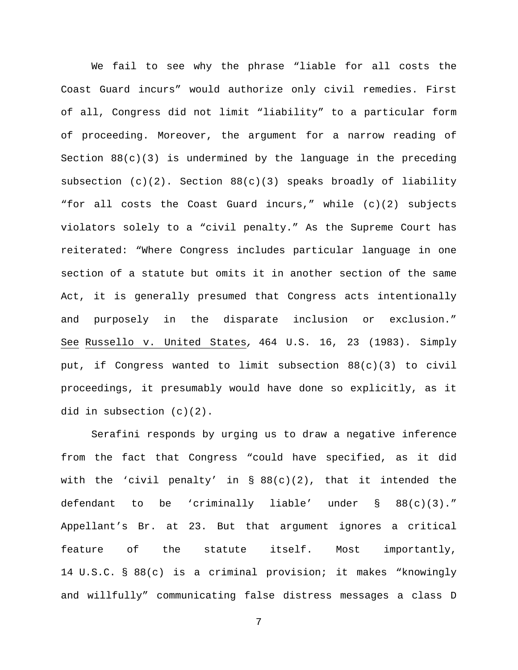We fail to see why the phrase "liable for all costs the Coast Guard incurs" would authorize only civil remedies. First of all, Congress did not limit "liability" to a particular form of proceeding. Moreover, the argument for a narrow reading of Section  $88(c)(3)$  is undermined by the language in the preceding subsection (c)(2). Section 88(c)(3) speaks broadly of liability "for all costs the Coast Guard incurs," while (c)(2) subjects violators solely to a "civil penalty." As the Supreme Court has reiterated: "Where Congress includes particular language in one section of a statute but omits it in another section of the same Act, it is generally presumed that Congress acts intentionally and purposely in the disparate inclusion or exclusion." See Russello v. United States*,* 464 U.S. 16, 23 (1983). Simply put, if Congress wanted to limit subsection 88(c)(3) to civil proceedings, it presumably would have done so explicitly, as it did in subsection (c)(2).

Serafini responds by urging us to draw a negative inference from the fact that Congress "could have specified, as it did with the 'civil penalty' in § 88(c)(2), that it intended the defendant to be 'criminally liable' under § 88(c)(3)." Appellant's Br. at 23. But that argument ignores a critical feature of the statute itself. Most importantly, 14 U.S.C. § 88(c) is a criminal provision; it makes "knowingly and willfully" communicating false distress messages a class D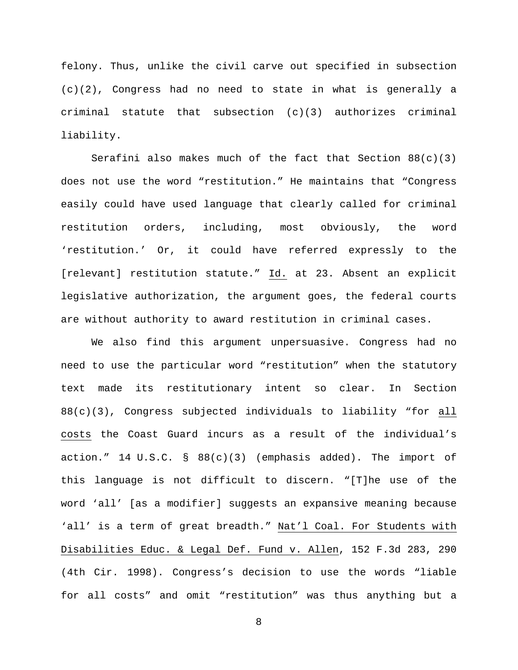felony. Thus, unlike the civil carve out specified in subsection (c)(2), Congress had no need to state in what is generally a criminal statute that subsection (c)(3) authorizes criminal liability.

Serafini also makes much of the fact that Section  $88(c)(3)$ does not use the word "restitution." He maintains that "Congress easily could have used language that clearly called for criminal restitution orders, including, most obviously, the word 'restitution.' Or, it could have referred expressly to the [relevant] restitution statute." Id. at 23. Absent an explicit legislative authorization, the argument goes, the federal courts are without authority to award restitution in criminal cases.

We also find this argument unpersuasive. Congress had no need to use the particular word "restitution" when the statutory text made its restitutionary intent so clear. In Section 88(c)(3), Congress subjected individuals to liability "for all costs the Coast Guard incurs as a result of the individual's action." 14 U.S.C. § 88(c)(3) (emphasis added). The import of this language is not difficult to discern. "[T]he use of the word 'all' [as a modifier] suggests an expansive meaning because 'all' is a term of great breadth." Nat'l Coal. For Students with Disabilities Educ. & Legal Def. Fund v. Allen, 152 F.3d 283, 290 (4th Cir. 1998). Congress's decision to use the words "liable for all costs" and omit "restitution" was thus anything but a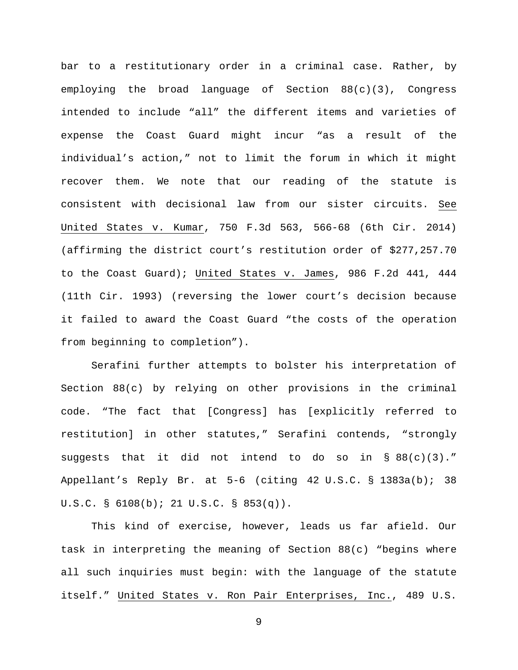bar to a restitutionary order in a criminal case. Rather, by employing the broad language of Section 88(c)(3), Congress intended to include "all" the different items and varieties of expense the Coast Guard might incur "as a result of the individual's action," not to limit the forum in which it might recover them. We note that our reading of the statute is consistent with decisional law from our sister circuits. See United States v. Kumar, 750 F.3d 563, 566-68 (6th Cir. 2014) (affirming the district court's restitution order of \$277,257.70 to the Coast Guard); United States v. James, 986 F.2d 441, 444 (11th Cir. 1993) (reversing the lower court's decision because it failed to award the Coast Guard "the costs of the operation from beginning to completion").

Serafini further attempts to bolster his interpretation of Section 88(c) by relying on other provisions in the criminal code. "The fact that [Congress] has [explicitly referred to restitution] in other statutes," Serafini contends, "strongly suggests that it did not intend to do so in  $\S$  88(c)(3)." Appellant's Reply Br. at 5-6 (citing 42 U.S.C. § 1383a(b); 38 U.S.C. § 6108(b); 21 U.S.C. § 853(q)).

This kind of exercise, however, leads us far afield. Our task in interpreting the meaning of Section 88(c) "begins where all such inquiries must begin: with the language of the statute itself." United States v. Ron Pair Enterprises, Inc., 489 U.S.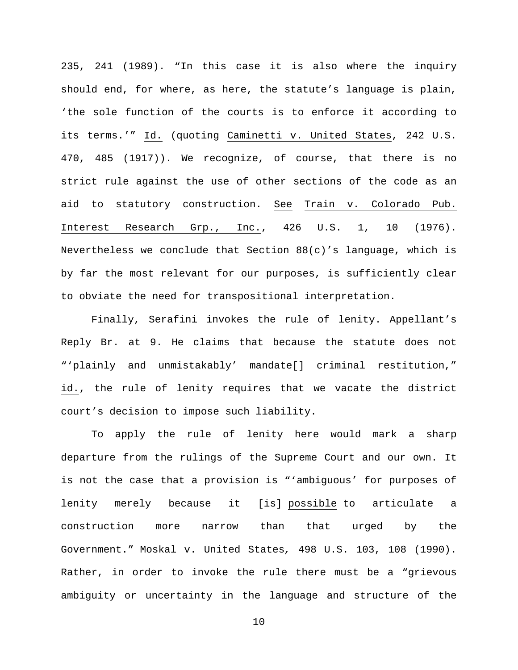235, 241 (1989). "In this case it is also where the inquiry should end, for where, as here, the statute's language is plain, 'the sole function of the courts is to enforce it according to its terms.'" Id. (quoting Caminetti v. United States, 242 U.S. 470, 485 (1917)). We recognize, of course, that there is no strict rule against the use of other sections of the code as an aid to statutory construction. See Train v. Colorado Pub. Interest Research Grp., Inc., 426 U.S. 1, 10 (1976). Nevertheless we conclude that Section 88(c)'s language, which is by far the most relevant for our purposes, is sufficiently clear to obviate the need for transpositional interpretation.

Finally, Serafini invokes the rule of lenity. Appellant's Reply Br. at 9. He claims that because the statute does not "'plainly and unmistakably' mandate[] criminal restitution," id., the rule of lenity requires that we vacate the district court's decision to impose such liability.

To apply the rule of lenity here would mark a sharp departure from the rulings of the Supreme Court and our own. It is not the case that a provision is "'ambiguous' for purposes of lenity merely because it [is] possible to articulate a construction more narrow than that urged by the Government." Moskal v. United States*,* 498 U.S. 103, 108 (1990). Rather, in order to invoke the rule there must be a "grievous ambiguity or uncertainty in the language and structure of the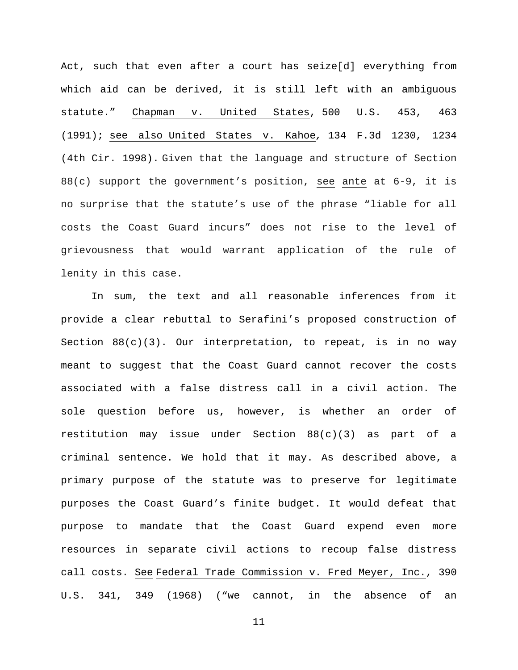Act, such that even after a court has seize[d] everything from which aid can be derived, it is still left with an ambiguous statute." Chapman v. United States, 500 U.S. 453, 463 (1991); see also United States v. Kahoe*,* 134 F.3d 1230, 1234 (4th Cir. 1998). Given that the language and structure of Section 88(c) support the government's position, see ante at 6-9, it is no surprise that the statute's use of the phrase "liable for all costs the Coast Guard incurs" does not rise to the level of grievousness that would warrant application of the rule of lenity in this case.

In sum, the text and all reasonable inferences from it provide a clear rebuttal to Serafini's proposed construction of Section  $88(c)(3)$ . Our interpretation, to repeat, is in no way meant to suggest that the Coast Guard cannot recover the costs associated with a false distress call in a civil action. The sole question before us, however, is whether an order of restitution may issue under Section 88(c)(3) as part of a criminal sentence. We hold that it may. As described above, a primary purpose of the statute was to preserve for legitimate purposes the Coast Guard's finite budget. It would defeat that purpose to mandate that the Coast Guard expend even more resources in separate civil actions to recoup false distress call costs. See Federal Trade Commission v. Fred Meyer, Inc., 390 U.S. 341, 349 (1968) ("we cannot, in the absence of an